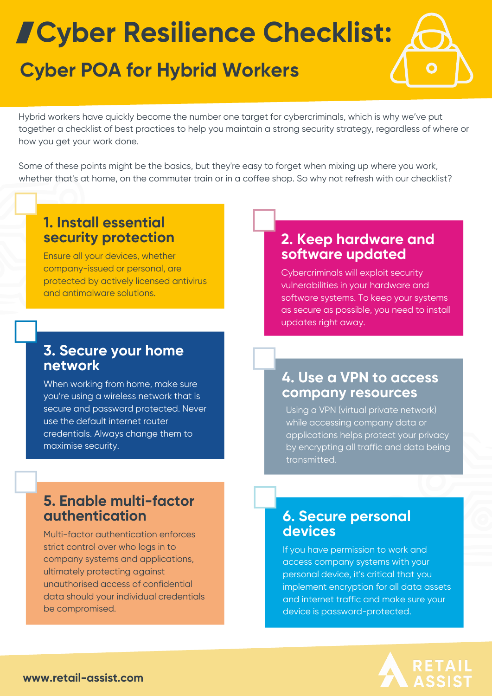# **Cyber Resilience Checklist:**

# **Cyber POA for Hybrid Workers**

Hybrid workers have quickly become the number one target for cybercriminals, which is why we've put together a checklist of best practices to help you maintain a strong security strategy, regardless of where or how you get your work done.

Some of these points might be the basics, but they're easy to forget when mixing up where you work, whether that's at home, on the commuter train or in a coffee shop. So why not refresh with our checklist?

#### **1. Install essential security protection**

Ensure all your devices, whether company-issued or personal, are protected by actively licensed antivirus and antimalware solutions.

#### **3. Secure your home network**

When working from home, make sure you're using a wireless network that is secure and password protected. Never use the default internet router credentials. Always change them to maximise security.

# **2. Keep hardware and software updated**

Cybercriminals will exploit security vulnerabilities in your hardware and software systems. To keep your systems as secure as possible, you need to install updates right away.

#### **4. Use a VPN to access company resources**

Using a VPN (virtual private network) while accessing company data or applications helps protect your privacy by encrypting all traffic and data being transmitted.

# **5. Enable multi-factor authentication**

Multi-factor authentication enforces strict control over who logs in to company systems and applications, ultimately protecting against unauthorised access of confidential data should your individual credentials be compromised.

#### **6. Secure personal devices**

If you have permission to work and access company systems with your personal device, it's critical that you implement encryption for all data assets and internet traffic and make sure your device is password-protected.

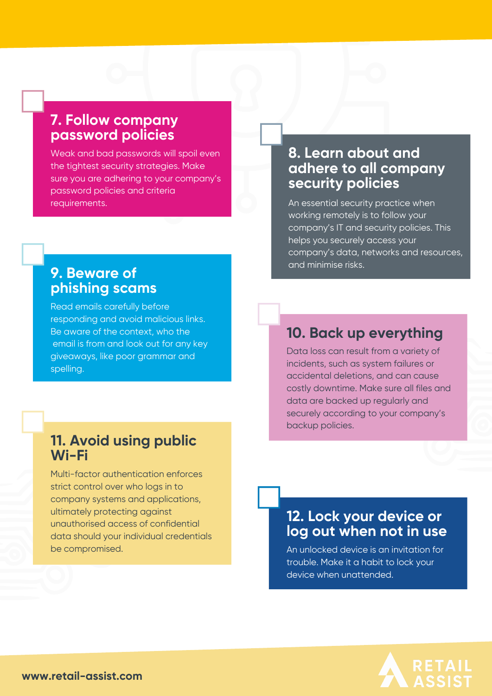# **7. Follow company password policies**

Weak and bad passwords will spoil even the tightest security strategies. Make sure you are adhering to your company's password policies and criteria requirements.

#### **8. Learn about and adhere to all company security policies**

An essential security practice when working remotely is to follow your company's IT and security policies. This helps you securely access your company's data, networks and resources, and minimise risks.

# **9. Beware of phishing scams**

Read emails carefully before responding and avoid malicious links. Be aware of the context, who the email is from and look out for any key giveaways, like poor grammar and spelling.

# **10. Back up everything**

Data loss can result from a variety of incidents, such as system failures or accidental deletions, and can cause costly downtime. Make sure all files and data are backed up regularly and securely according to your company's backup policies.

#### **11. Avoid using public Wi-Fi**

Multi-factor authentication enforces strict control over who logs in to company systems and applications, ultimately protecting against unauthorised access of confidential data should your individual credentials be compromised.

# **12. Lock your device or log out when not in use**

An unlocked device is an invitation for trouble. Make it a habit to lock your device when unattended.



**www.retail-assist.com**